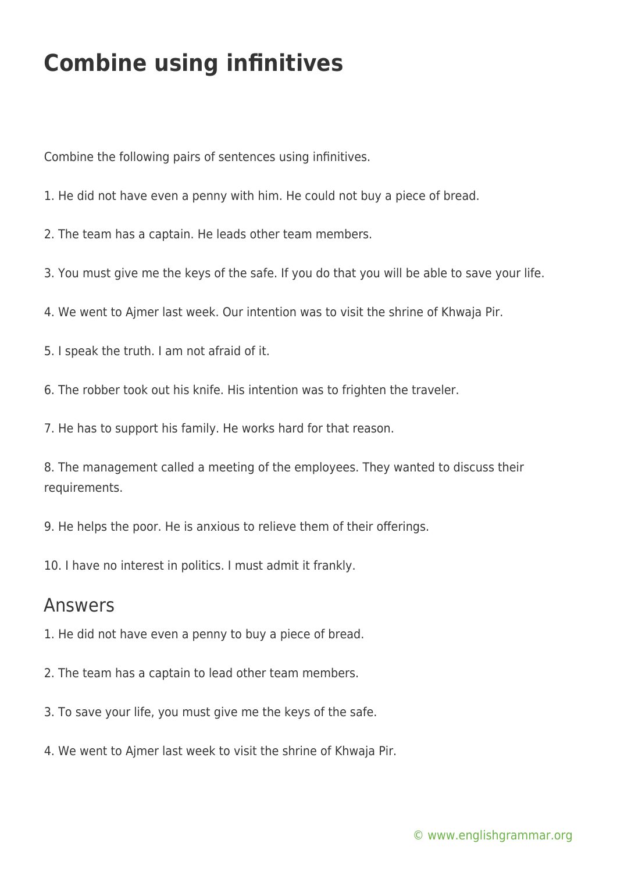## **Combine using infinitives**

Combine the following pairs of sentences using infinitives.

- 1. He did not have even a penny with him. He could not buy a piece of bread.
- 2. The team has a captain. He leads other team members.
- 3. You must give me the keys of the safe. If you do that you will be able to save your life.
- 4. We went to Ajmer last week. Our intention was to visit the shrine of Khwaja Pir.
- 5. I speak the truth. I am not afraid of it.
- 6. The robber took out his knife. His intention was to frighten the traveler.
- 7. He has to support his family. He works hard for that reason.
- 8. The management called a meeting of the employees. They wanted to discuss their requirements.
- 9. He helps the poor. He is anxious to relieve them of their offerings.
- 10. I have no interest in politics. I must admit it frankly.

## Answers

- 1. He did not have even a penny to buy a piece of bread.
- 2. The team has a captain to lead other team members.
- 3. To save your life, you must give me the keys of the safe.
- 4. We went to Ajmer last week to visit the shrine of Khwaja Pir.